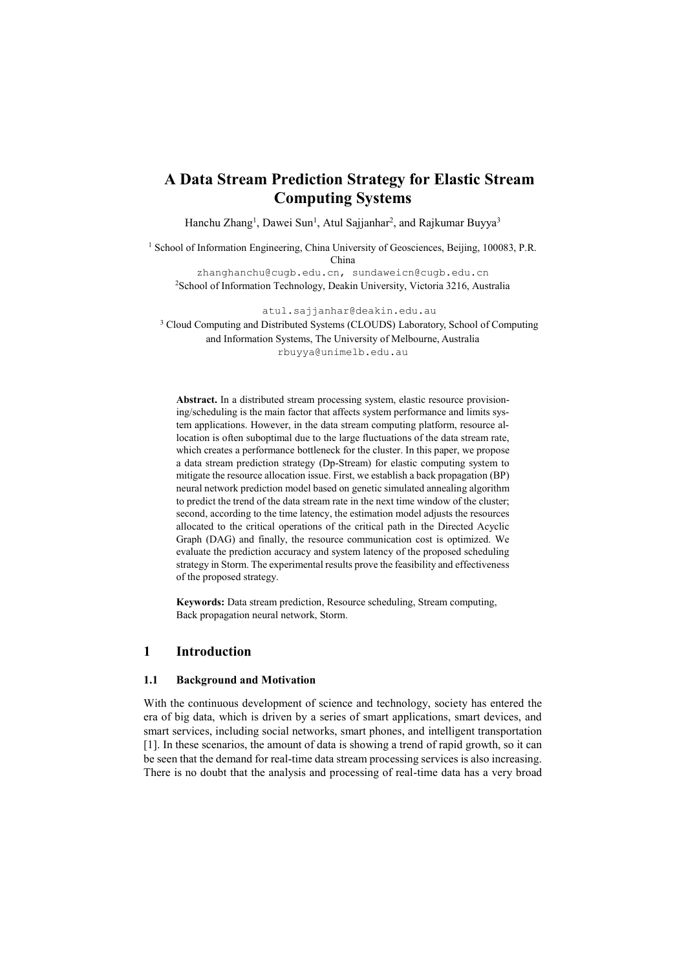# **A Data Stream Prediction Strategy for Elastic Stream Computing Systems**

Hanchu Zhang<sup>1</sup>, Dawei Sun<sup>1</sup>, Atul Sajjanhar<sup>2</sup>, and Rajkumar Buyya<sup>3</sup>

<sup>1</sup> School of Information Engineering, China University of Geosciences, Beijing, 100083, P.R. China

[zhanghanchu@cugb.edu.cn,](mailto:zhanghanchu@cugb.edu.cn) sundaweicn@cugb.edu.cn <sup>2</sup>School of Information Technology, Deakin University, Victoria 3216, Australia

atul.sajjanhar@deakin.edu.au

<sup>3</sup> Cloud Computing and Distributed Systems (CLOUDS) Laboratory, School of Computing and Information Systems, The University of Melbourne, Australia [rbuyya@unimelb.edu.au](mailto:rbuyya@unimelb.edu.au)

**Abstract.** In a distributed stream processing system, elastic resource provisioning/scheduling is the main factor that affects system performance and limits system applications. However, in the data stream computing platform, resource allocation is often suboptimal due to the large fluctuations of the data stream rate, which creates a performance bottleneck for the cluster. In this paper, we propose a data stream prediction strategy (Dp-Stream) for elastic computing system to mitigate the resource allocation issue. First, we establish a back propagation (BP) neural network prediction model based on genetic simulated annealing algorithm to predict the trend of the data stream rate in the next time window of the cluster; second, according to the time latency, the estimation model adjusts the resources allocated to the critical operations of the critical path in the Directed Acyclic Graph (DAG) and finally, the resource communication cost is optimized. We evaluate the prediction accuracy and system latency of the proposed scheduling strategy in Storm. The experimental results prove the feasibility and effectiveness of the proposed strategy.

**Keywords:** Data stream prediction, Resource scheduling, Stream computing, Back propagation neural network, Storm.

## **1 Introduction**

#### **1.1 Background and Motivation**

With the continuous development of science and technology, society has entered the era of big data, which is driven by a series of smart applications, smart devices, and smart services, including social networks, smart phones, and intelligent transportation [1]. In these scenarios, the amount of data is showing a trend of rapid growth, so it can be seen that the demand for real-time data stream processing services is also increasing. There is no doubt that the analysis and processing of real-time data has a very broad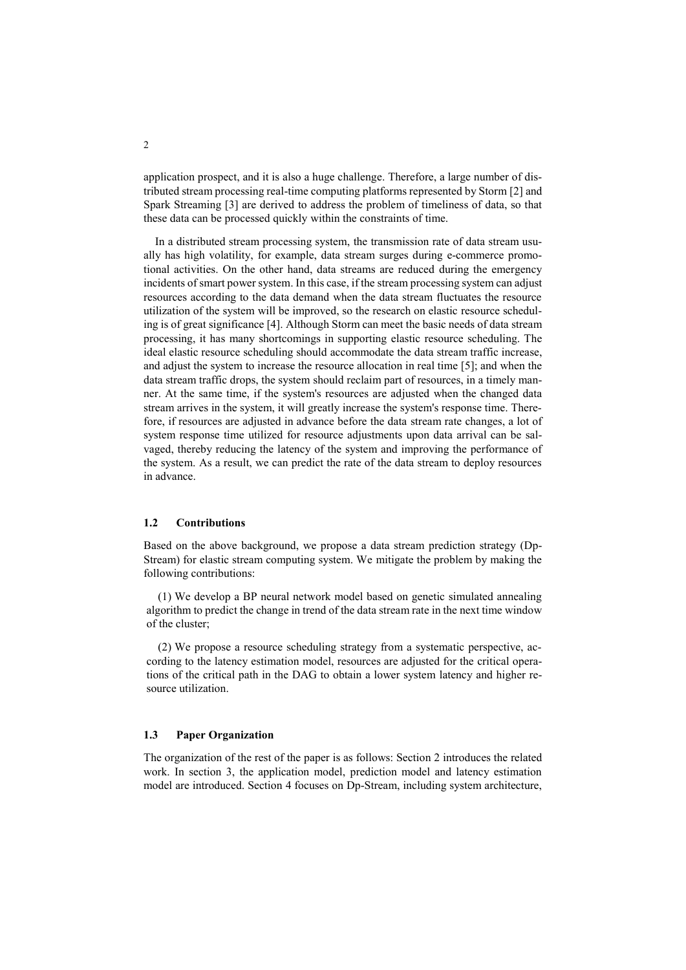application prospect, and it is also a huge challenge. Therefore, a large number of distributed stream processing real-time computing platforms represented by Storm [2] and Spark Streaming [3] are derived to address the problem of timeliness of data, so that these data can be processed quickly within the constraints of time.

In a distributed stream processing system, the transmission rate of data stream usually has high volatility, for example, data stream surges during e-commerce promotional activities. On the other hand, data streams are reduced during the emergency incidents of smart power system. In this case, if the stream processing system can adjust resources according to the data demand when the data stream fluctuates the resource utilization of the system will be improved, so the research on elastic resource scheduling is of great significance [4]. Although Storm can meet the basic needs of data stream processing, it has many shortcomings in supporting elastic resource scheduling. The ideal elastic resource scheduling should accommodate the data stream traffic increase, and adjust the system to increase the resource allocation in real time [5]; and when the data stream traffic drops, the system should reclaim part of resources, in a timely manner. At the same time, if the system's resources are adjusted when the changed data stream arrives in the system, it will greatly increase the system's response time. Therefore, if resources are adjusted in advance before the data stream rate changes, a lot of system response time utilized for resource adjustments upon data arrival can be salvaged, thereby reducing the latency of the system and improving the performance of the system. As a result, we can predict the rate of the data stream to deploy resources in advance.

### **1.2 Contributions**

Based on the above background, we propose a data stream prediction strategy (Dp-Stream) for elastic stream computing system. We mitigate the problem by making the following contributions:

(1) We develop a BP neural network model based on genetic simulated annealing algorithm to predict the change in trend of the data stream rate in the next time window of the cluster;

(2) We propose a resource scheduling strategy from a systematic perspective, according to the latency estimation model, resources are adjusted for the critical operations of the critical path in the DAG to obtain a lower system latency and higher resource utilization.

#### **1.3 Paper Organization**

The organization of the rest of the paper is as follows: Section 2 introduces the related work. In section 3, the application model, prediction model and latency estimation model are introduced. Section 4 focuses on Dp-Stream, including system architecture,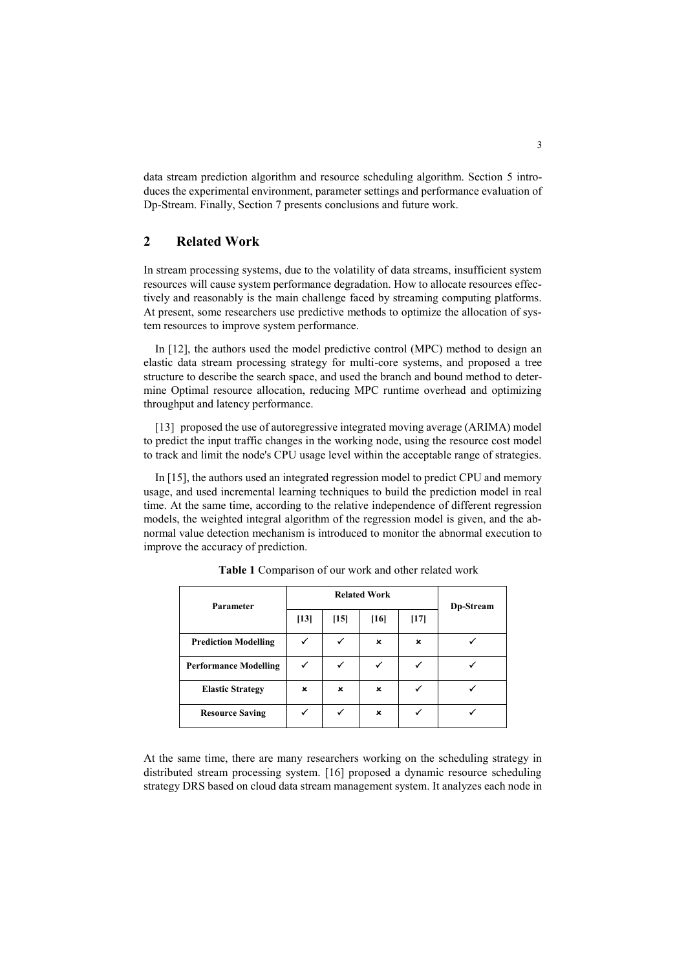data stream prediction algorithm and resource scheduling algorithm. Section 5 introduces the experimental environment, parameter settings and performance evaluation of Dp-Stream. Finally, Section 7 presents conclusions and future work.

## **2 Related Work**

In stream processing systems, due to the volatility of data streams, insufficient system resources will cause system performance degradation. How to allocate resources effectively and reasonably is the main challenge faced by streaming computing platforms. At present, some researchers use predictive methods to optimize the allocation of system resources to improve system performance.

In [12], the authors used the model predictive control (MPC) method to design an elastic data stream processing strategy for multi-core systems, and proposed a tree structure to describe the search space, and used the branch and bound method to determine Optimal resource allocation, reducing MPC runtime overhead and optimizing throughput and latency performance.

[13] proposed the use of autoregressive integrated moving average (ARIMA) model to predict the input traffic changes in the working node, using the resource cost model to track and limit the node's CPU usage level within the acceptable range of strategies.

In [15], the authors used an integrated regression model to predict CPU and memory usage, and used incremental learning techniques to build the prediction model in real time. At the same time, according to the relative independence of different regression models, the weighted integral algorithm of the regression model is given, and the abnormal value detection mechanism is introduced to monitor the abnormal execution to improve the accuracy of prediction.

| Parameter                    | <b>Related Work</b> |              |                |                           | Dp-Stream |
|------------------------------|---------------------|--------------|----------------|---------------------------|-----------|
|                              | $[13]$              | $[15]$       | [16]           | $[17]$                    |           |
| <b>Prediction Modelling</b>  |                     | √            | $\pmb{\times}$ | $\boldsymbol{\mathsf{x}}$ |           |
| <b>Performance Modelling</b> |                     | ✓            |                |                           |           |
| <b>Elastic Strategy</b>      | ×                   | ×            | ×              |                           |           |
| <b>Resource Saving</b>       |                     | $\checkmark$ | ×              |                           |           |

**Table 1** Comparison of our work and other related work

At the same time, there are many researchers working on the scheduling strategy in distributed stream processing system. [16] proposed a dynamic resource scheduling strategy DRS based on cloud data stream management system. It analyzes each node in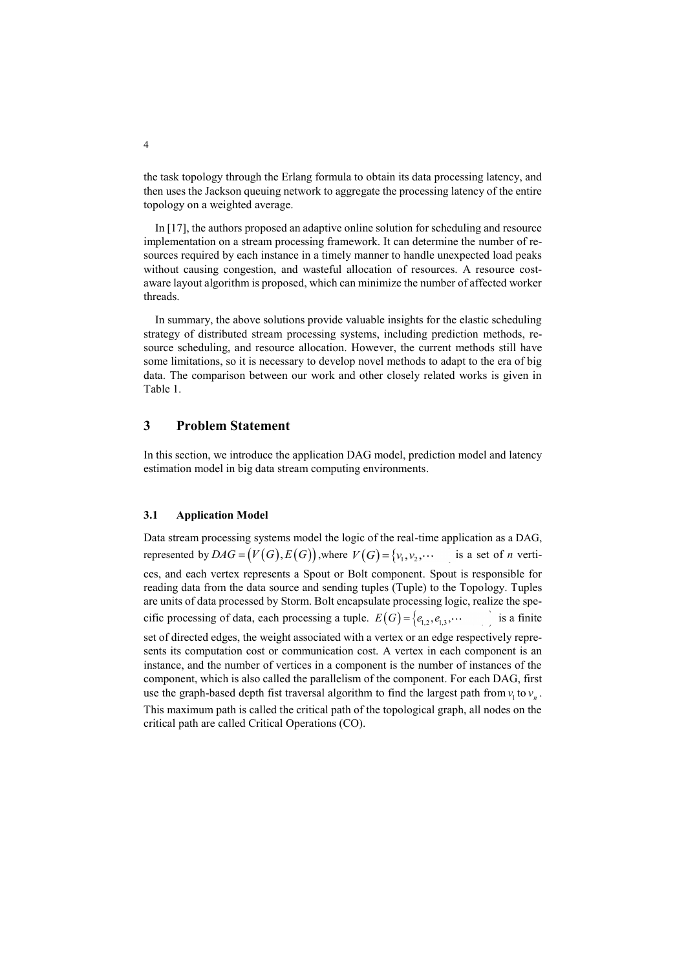the task topology through the Erlang formula to obtain its data processing latency, and then uses the Jackson queuing network to aggregate the processing latency of the entire topology on a weighted average.

In [17], the authors proposed an adaptive online solution for scheduling and resource implementation on a stream processing framework. It can determine the number of resources required by each instance in a timely manner to handle unexpected load peaks without causing congestion, and wasteful allocation of resources. A resource costaware layout algorithm is proposed, which can minimize the number of affected worker threads.

In summary, the above solutions provide valuable insights for the elastic scheduling strategy of distributed stream processing systems, including prediction methods, resource scheduling, and resource allocation. However, the current methods still have some limitations, so it is necessary to develop novel methods to adapt to the era of big data. The comparison between our work and other closely related works is given in Table 1.

### **3 Problem Statement**

In this section, we introduce the application DAG model, prediction model and latency estimation model in big data stream computing environments.

#### **3.1 Application Model**

Data stream processing systems model the logic of the real-time application as a DAG, represented by  $DAG = (V(G), E(G))$ , where  $V(G) = \{v_1, v_2, \cdots, v_m\}$  is a set of *n* vertices, and each vertex represents a Spout or Bolt component. Spout is responsible for reading data from the data source and sending tuples (Tuple) to the Topology. Tuples are units of data processed by Storm. Bolt encapsulate processing logic, realize the specific processing of data, each processing a tuple.  $E(G) = \{e_{1,2}, e_{1,3}, \cdots, e_{n,m}\}$  is a finite set of directed edges, the weight associated with a vertex or an edge respectively represents its computation cost or communication cost. A vertex in each component is an instance, and the number of vertices in a component is the number of instances of the component, which is also called the parallelism of the component. For each DAG, first use the graph-based depth fist traversal algorithm to find the largest path from  $v_1$  to  $v_n$ . This maximum path is called the critical path of the topological graph, all nodes on the critical path are called Critical Operations (CO).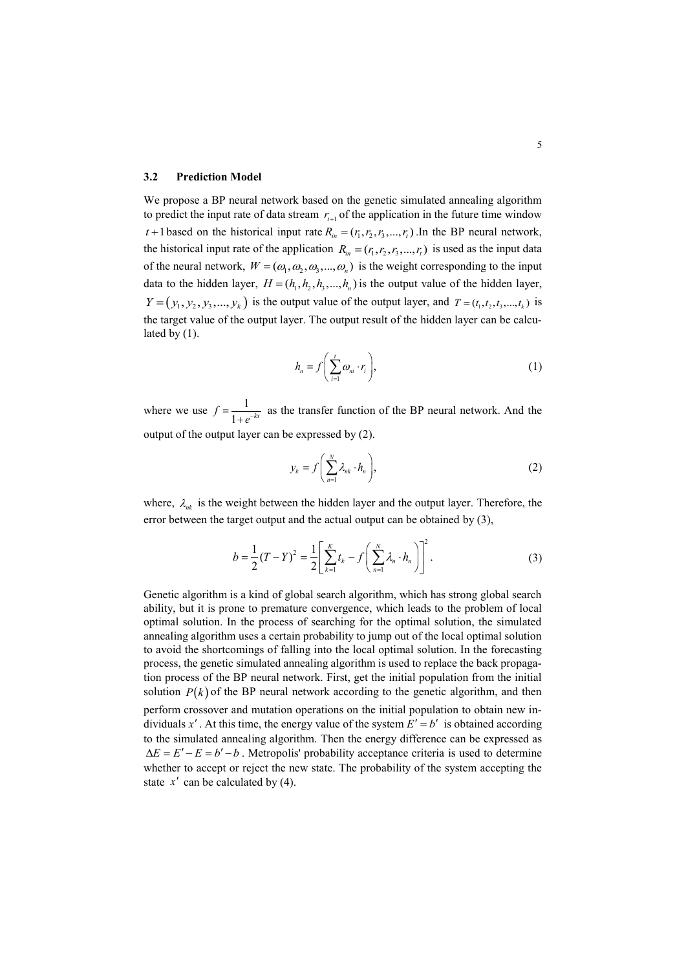#### **3.2 Prediction Model**

We propose a BP neural network based on the genetic simulated annealing algorithm to predict the input rate of data stream  $r_{t+1}$  of the application in the future time window  $t+1$  based on the historical input rate  $R_{in} = (r_1, r_2, r_3, ..., r_t)$ . In the BP neural network, the historical input rate of the application  $R_{in} = (r_1, r_2, r_3, ..., r_t)$  is used as the input data of the neural network,  $W = (\omega_1, \omega_2, \omega_3, ..., \omega_n)$  is the weight corresponding to the input data to the hidden layer,  $H = (h_1, h_2, h_3, ..., h_n)$  is the output value of the hidden layer,  $Y = (y_1, y_2, y_3, ..., y_k)$  is the output value of the output layer, and  $T = (t_1, t_2, t_3, ..., t_k)$  is the target value of the output layer. The output result of the hidden layer can be calculated by  $(1)$ .

$$
h_n = f\left(\sum_{i=1}^t \omega_{ni} \cdot r_i\right),\tag{1}
$$

where we use  $f = \frac{1}{1}$  $f = \frac{1}{1 + e^{-kx}}$  as the transfer function of the BP neural network. And the output of the output layer can be expressed by (2).

$$
y_k = f\left(\sum_{n=1}^N \lambda_{nk} \cdot h_n\right),\tag{2}
$$

where,  $\lambda_{nk}$  is the weight between the hidden layer and the output layer. Therefore, the error between the target output and the actual output can be obtained by (3),

$$
b = \frac{1}{2}(T - Y)^2 = \frac{1}{2} \left[ \sum_{k=1}^{K} t_k - f \left( \sum_{n=1}^{N} \lambda_n \cdot h_n \right) \right]^2.
$$
 (3)

Genetic algorithm is a kind of global search algorithm, which has strong global search ability, but it is prone to premature convergence, which leads to the problem of local optimal solution. In the process of searching for the optimal solution, the simulated annealing algorithm uses a certain probability to jump out of the local optimal solution to avoid the shortcomings of falling into the local optimal solution. In the forecasting process, the genetic simulated annealing algorithm is used to replace the back propagation process of the BP neural network. First, get the initial population from the initial solution  $P(k)$  of the BP neural network according to the genetic algorithm, and then perform crossover and mutation operations on the initial population to obtain new individuals x'. At this time, the energy value of the system  $E' = b'$  is obtained according to the simulated annealing algorithm. Then the energy difference can be expressed as  $\Delta E = E' - E = b' - b$ . Metropolis' probability acceptance criteria is used to determine whether to accept or reject the new state. The probability of the system accepting the state  $x'$  can be calculated by (4).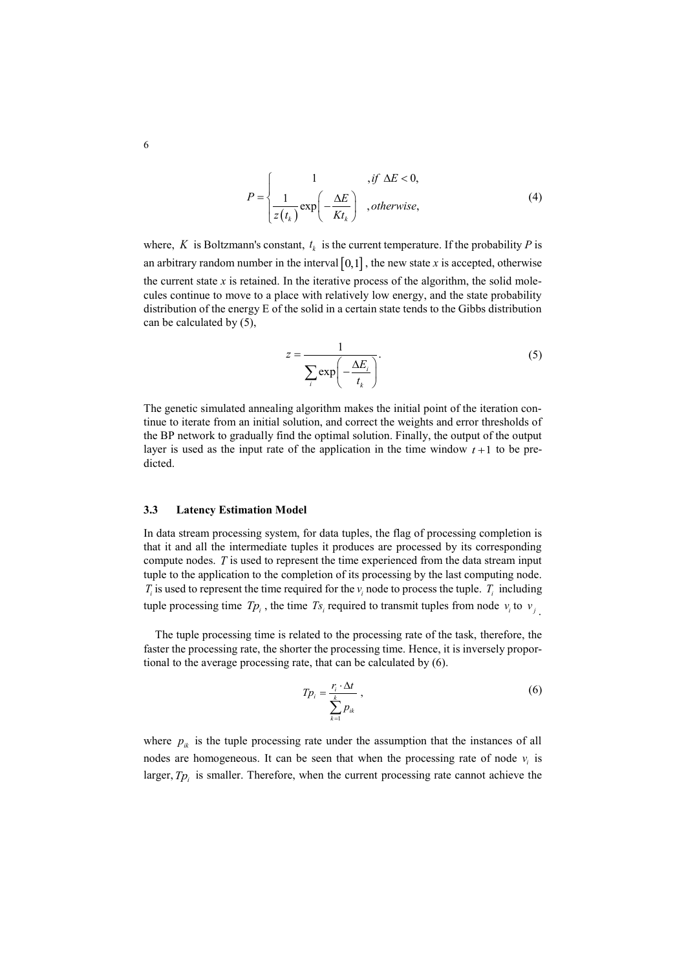$$
P = \begin{cases} 1 & ,if \Delta E < 0, \\ \frac{1}{z(t_k)} \exp\left(-\frac{\Delta E}{K t_k}\right) & ,otherwise, \end{cases}
$$
(4)

where, K is Boltzmann's constant,  $t_k$  is the current temperature. If the probability P is an arbitrary random number in the interval  $[0,1]$ , the new state x is accepted, otherwise the current state  $x$  is retained. In the iterative process of the algorithm, the solid molecules continue to move to a place with relatively low energy, and the state probability distribution of the energy E of the solid in a certain state tends to the Gibbs distribution can be calculated by (5),

$$
z = \frac{1}{\sum_{i} \exp\left(-\frac{\Delta E_i}{t_k}\right)}.
$$
\n(5)

The genetic simulated annealing algorithm makes the initial point of the iteration continue to iterate from an initial solution, and correct the weights and error thresholds of the BP network to gradually find the optimal solution. Finally, the output of the output layer is used as the input rate of the application in the time window  $t+1$  to be predicted.

#### **3.3 Latency Estimation Model**

In data stream processing system, for data tuples, the flag of processing completion is that it and all the intermediate tuples it produces are processed by its corresponding compute nodes. *T* is used to represent the time experienced from the data stream input tuple to the application to the completion of its processing by the last computing node. *T<sub>i</sub>* is used to represent the time required for the  $v_i$  node to process the tuple. *T<sub>i</sub>* including tuple processing time  $Tp_i$ , the time  $Ts_i$  required to transmit tuples from node  $v_i$  to  $v_j$ .

The tuple processing time is related to the processing rate of the task, therefore, the faster the processing rate, the shorter the processing time. Hence, it is inversely proportional to the average processing rate, that can be calculated by (6).

$$
Tp_i = \frac{r_i \cdot \Delta t}{\sum_{k=1}^{k} p_{ik}},
$$
\n(6)

where  $p_{ik}$  is the tuple processing rate under the assumption that the instances of all nodes are homogeneous. It can be seen that when the processing rate of node  $v_i$  is larger,  $Tp_i$  is smaller. Therefore, when the current processing rate cannot achieve the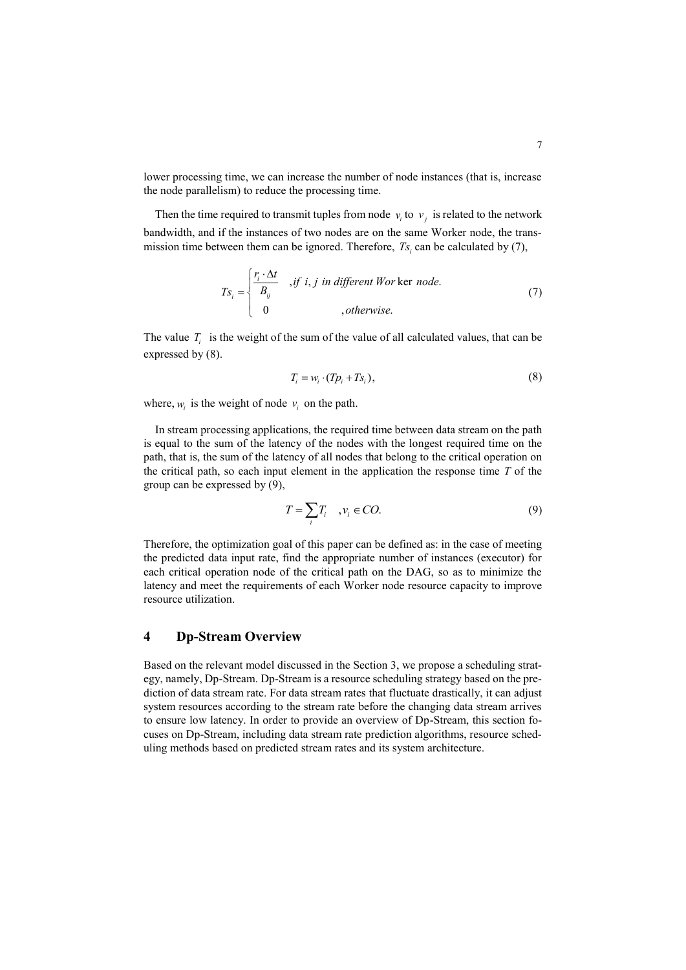lower processing time, we can increase the number of node instances (that is, increase the node parallelism) to reduce the processing time.

Then the time required to transmit tuples from node  $v_i$  to  $v_j$  is related to the network bandwidth, and if the instances of two nodes are on the same Worker node, the transmission time between them can be ignored. Therefore,  $Ts_i$  can be calculated by (7),

$$
Ts_i = \begin{cases} \frac{r_i \cdot \Delta t}{B_{ij}} & , if \ i, j \ in \ different \ Worker \ node. \\ 0 & , otherwise. \end{cases}
$$
 (7)

The value  $T_i$  is the weight of the sum of the value of all calculated values, that can be expressed by (8).

$$
T_i = w_i \cdot (Tp_i + Ts_i), \tag{8}
$$

where,  $w_i$  is the weight of node  $v_i$  on the path.

In stream processing applications, the required time between data stream on the path is equal to the sum of the latency of the nodes with the longest required time on the path, that is, the sum of the latency of all nodes that belong to the critical operation on the critical path, so each input element in the application the response time *T* of the group can be expressed by (9),

$$
T = \sum_{i} T_i, \quad v_i \in CO.
$$
 (9)

Therefore, the optimization goal of this paper can be defined as: in the case of meeting the predicted data input rate, find the appropriate number of instances (executor) for each critical operation node of the critical path on the DAG, so as to minimize the latency and meet the requirements of each Worker node resource capacity to improve resource utilization.

### **4 Dp-Stream Overview**

Based on the relevant model discussed in the Section 3, we propose a scheduling strategy, namely, Dp-Stream. Dp-Stream is a resource scheduling strategy based on the prediction of data stream rate. For data stream rates that fluctuate drastically, it can adjust system resources according to the stream rate before the changing data stream arrives to ensure low latency. In order to provide an overview of Dp-Stream, this section focuses on Dp-Stream, including data stream rate prediction algorithms, resource scheduling methods based on predicted stream rates and its system architecture.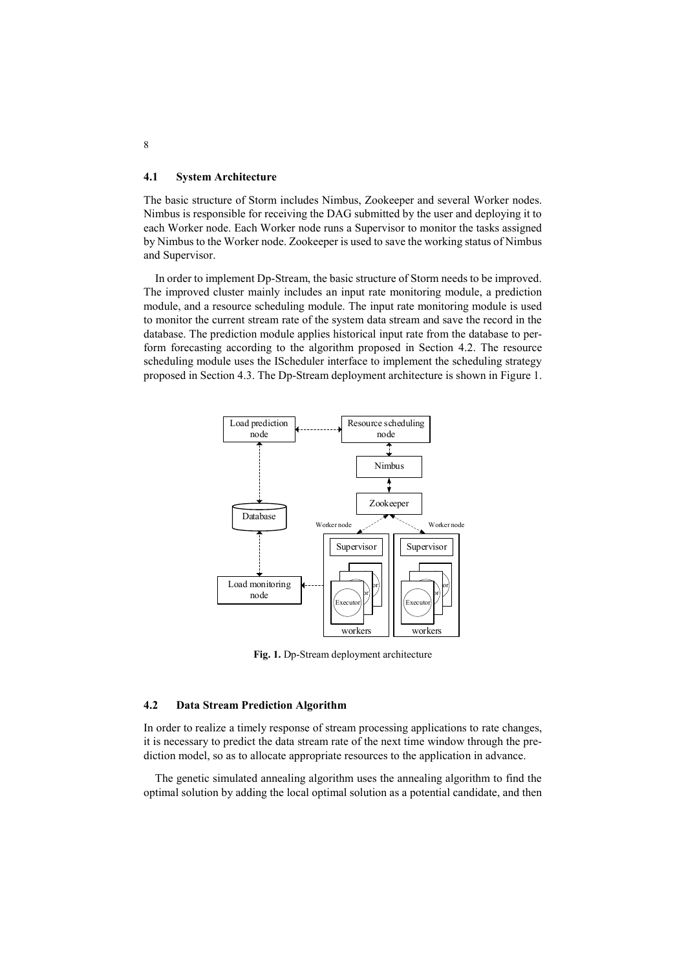### **4.1 System Architecture**

The basic structure of Storm includes Nimbus, Zookeeper and several Worker nodes. Nimbus is responsible for receiving the DAG submitted by the user and deploying it to each Worker node. Each Worker node runs a Supervisor to monitor the tasks assigned by Nimbus to the Worker node. Zookeeper is used to save the working status of Nimbus and Supervisor.

In order to implement Dp-Stream, the basic structure of Storm needs to be improved. The improved cluster mainly includes an input rate monitoring module, a prediction module, and a resource scheduling module. The input rate monitoring module is used to monitor the current stream rate of the system data stream and save the record in the database. The prediction module applies historical input rate from the database to perform forecasting according to the algorithm proposed in Section 4.2. The resource scheduling module uses the IScheduler interface to implement the scheduling strategy proposed in Section 4.3. The Dp-Stream deployment architecture is shown in Figure 1.



**Fig. 1.** Dp-Stream deployment architecture

### **4.2 Data Stream Prediction Algorithm**

In order to realize a timely response of stream processing applications to rate changes, it is necessary to predict the data stream rate of the next time window through the prediction model, so as to allocate appropriate resources to the application in advance.

The genetic simulated annealing algorithm uses the annealing algorithm to find the optimal solution by adding the local optimal solution as a potential candidate, and then

8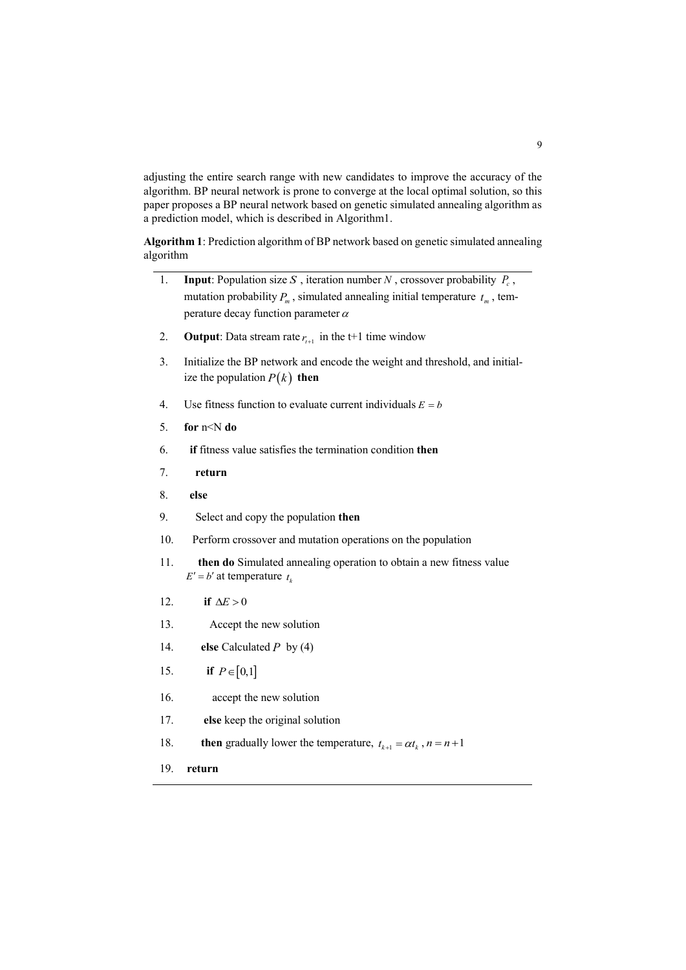adjusting the entire search range with new candidates to improve the accuracy of the algorithm. BP neural network is prone to converge at the local optimal solution, so this paper proposes a BP neural network based on genetic simulated annealing algorithm as a prediction model, which is described in Algorithm1.

**Algorithm 1**: Prediction algorithm of BP network based on genetic simulated annealing algorithm

- 1. **Input**: Population size *S*, iteration number *N*, crossover probability  $P_c$ , mutation probability  $P_m$ , simulated annealing initial temperature  $t_m$ , temperature decay function parameter  $\alpha$
- 2. **Output**: Data stream rate  $r_{t+1}$  in the t+1 time window
- 3. Initialize the BP network and encode the weight and threshold, and initialize the population  $P(k)$  then
- 4. Use fitness function to evaluate current individuals  $E = b$
- 5. **for** n<N **do**
- 6. **if** fitness value satisfies the termination condition **then**
- 7. **return**
- 8. **else**
- 9. Select and copy the population **then**
- 10. Perform crossover and mutation operations on the population
- 11. **then do** Simulated annealing operation to obtain a new fitness value  $E' = b'$  at temperature  $t_k$
- 12. **if** if  $\Delta E > 0$
- 13. Accept the new solution
- 14. **else** Calculated *P* by (4)
- 15. **if** if  $P \in [0,1]$
- 16. accept the new solution
- 17. **else** keep the original solution
- 18. **then** gradually lower the temperature,  $t_{k+1} = \alpha t_k$ ,  $n = n+1$
- 19. **return**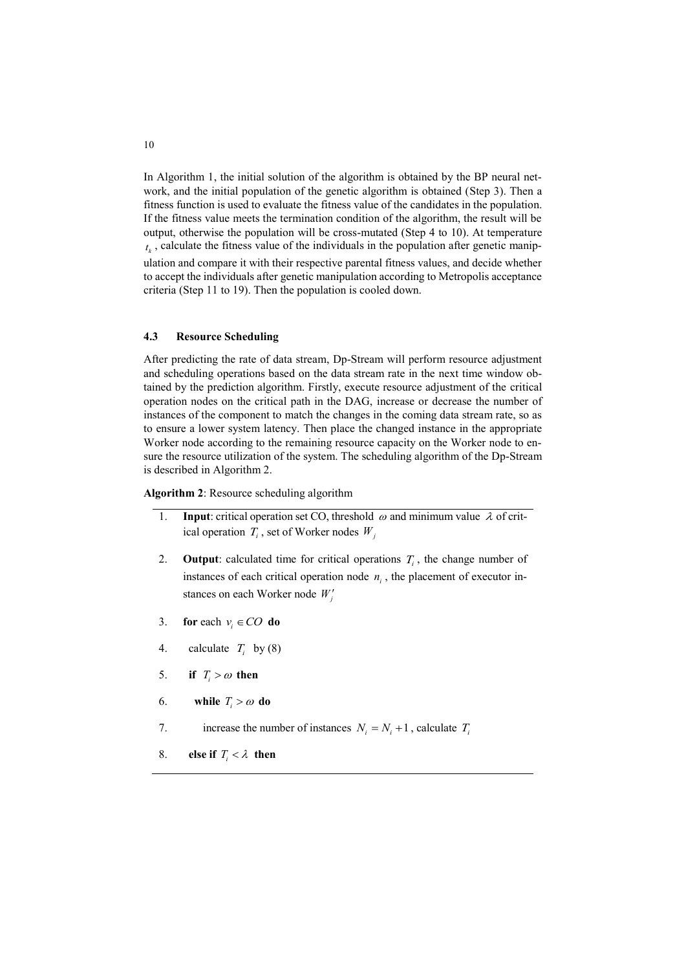In Algorithm 1, the initial solution of the algorithm is obtained by the BP neural network, and the initial population of the genetic algorithm is obtained (Step 3). Then a fitness function is used to evaluate the fitness value of the candidates in the population. If the fitness value meets the termination condition of the algorithm, the result will be output, otherwise the population will be cross-mutated (Step 4 to 10). At temperature  $t<sub>k</sub>$ , calculate the fitness value of the individuals in the population after genetic manipulation and compare it with their respective parental fitness values, and decide whether to accept the individuals after genetic manipulation according to Metropolis acceptance criteria (Step 11 to 19). Then the population is cooled down.

### **4.3 Resource Scheduling**

After predicting the rate of data stream, Dp-Stream will perform resource adjustment and scheduling operations based on the data stream rate in the next time window obtained by the prediction algorithm. Firstly, execute resource adjustment of the critical operation nodes on the critical path in the DAG, increase or decrease the number of instances of the component to match the changes in the coming data stream rate, so as to ensure a lower system latency. Then place the changed instance in the appropriate Worker node according to the remaining resource capacity on the Worker node to ensure the resource utilization of the system. The scheduling algorithm of the Dp-Stream is described in Algorithm 2.

**Algorithm 2**: Resource scheduling algorithm

- 1. **Input**: critical operation set CO, threshold  $\omega$  and minimum value  $\lambda$  of critical operation  $T_i$ , set of Worker nodes  $W_j$
- 2. **Output**: calculated time for critical operations  $T_i$ , the change number of instances of each critical operation node  $n_i$ , the placement of executor instances on each Worker node *Wj*
- 3. **for** each  $v_i \in CO$  **do**
- 4. calculate  $T_i$  by (8)
- 5. if  $T_i > \omega$  then
- 6. while  $T_i > \omega$  do
- 7. increase the number of instances  $N_i = N_i + 1$ , calculate  $T_i$
- 8. **else** if  $T_i < \lambda$  then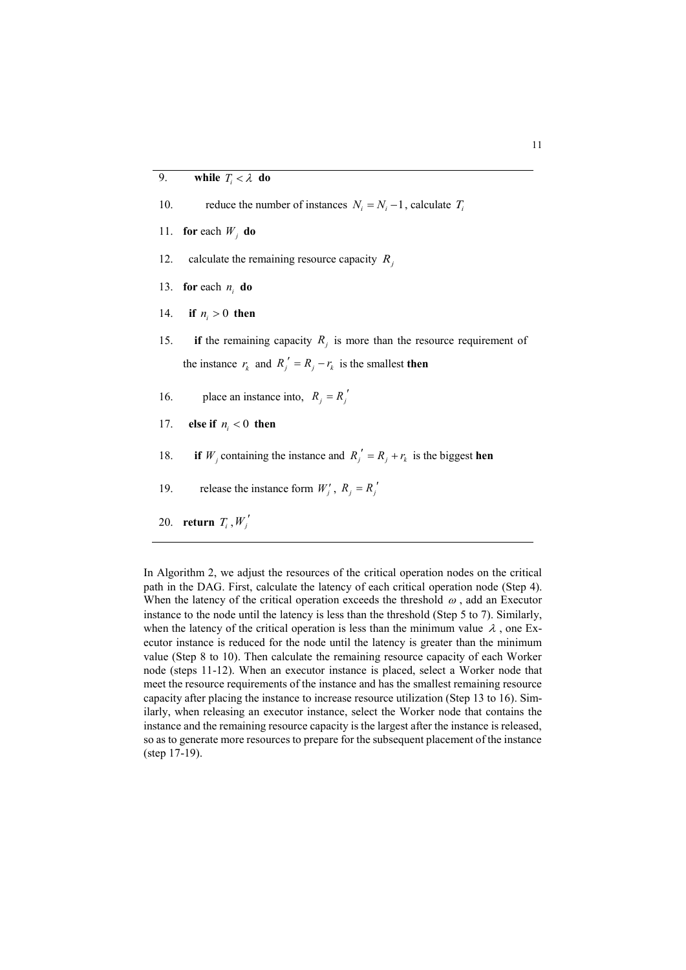10. reduce the number of instances  $N_i = N_i - 1$ , calculate  $T_i$ 

- 11. **for** each  $W_j$  **do**
- 12. calculate the remaining resource capacity *Rj*
- 13. **for** each  $n_i$  **do**
- 14. **if**  $n_i > 0$  then
- 15. **if** the remaining capacity  $R_j$  is more than the resource requirement of the instance  $r_k$  and  $R_j' = R_j - r_k$  is the smallest **then**
- 16. place an instance into,  $R_j = R_j'$
- 17. **else if**  $n_i < 0$  **then**
- 18. **if**  *W<sub>j</sub>* containing the instance and  $R_j' = R_j + r_k$  is the biggest **hen**
- 19. release the instance form  $W'_i$ ,  $R_j = R'_j$
- 20. **return**  $T_i$ ,  $W'_j$

In Algorithm 2, we adjust the resources of the critical operation nodes on the critical path in the DAG. First, calculate the latency of each critical operation node (Step 4). When the latency of the critical operation exceeds the threshold  $\omega$ , add an Executor instance to the node until the latency is less than the threshold (Step 5 to 7). Similarly, when the latency of the critical operation is less than the minimum value  $\lambda$ , one Executor instance is reduced for the node until the latency is greater than the minimum value (Step 8 to 10). Then calculate the remaining resource capacity of each Worker node (steps 11-12). When an executor instance is placed, select a Worker node that meet the resource requirements of the instance and has the smallest remaining resource capacity after placing the instance to increase resource utilization (Step 13 to 16). Similarly, when releasing an executor instance, select the Worker node that contains the instance and the remaining resource capacity is the largest after the instance is released, so as to generate more resources to prepare for the subsequent placement of the instance (step 17-19).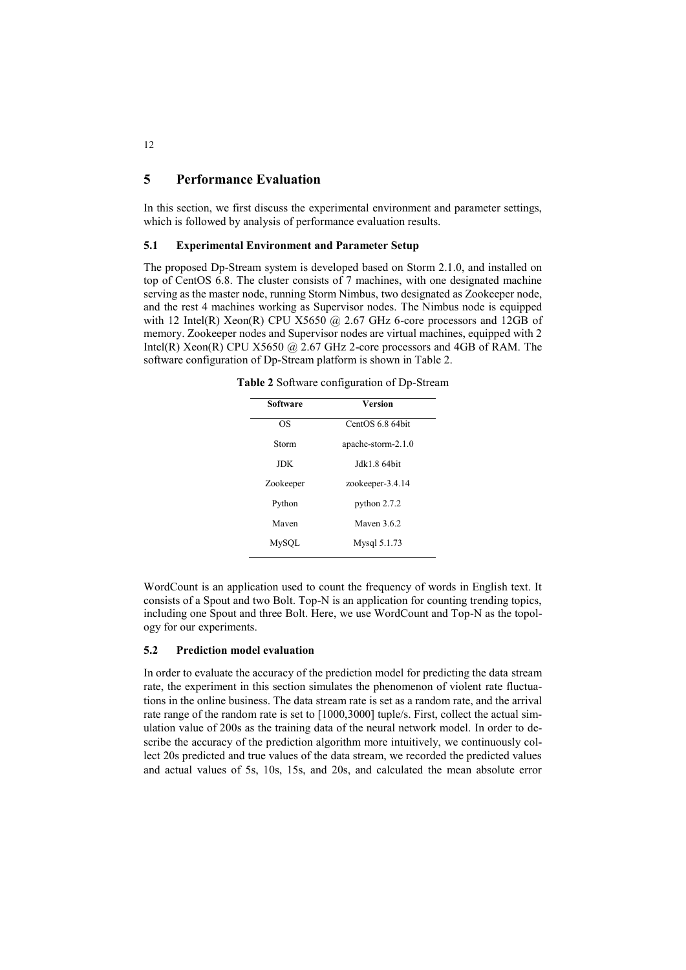### **5 Performance Evaluation**

In this section, we first discuss the experimental environment and parameter settings, which is followed by analysis of performance evaluation results.

### **5.1 Experimental Environment and Parameter Setup**

The proposed Dp-Stream system is developed based on Storm 2.1.0, and installed on top of CentOS 6.8. The cluster consists of 7 machines, with one designated machine serving as the master node, running Storm Nimbus, two designated as Zookeeper node, and the rest 4 machines working as Supervisor nodes. The Nimbus node is equipped with 12 Intel(R) Xeon(R) CPU X5650  $@$  2.67 GHz 6-core processors and 12GB of memory. Zookeeper nodes and Supervisor nodes are virtual machines, equipped with 2 Intel(R) Xeon(R) CPU X5650 @ 2.67 GHz 2-core processors and 4GB of RAM. The software configuration of Dp-Stream platform is shown in Table 2.

**Table 2** Software configuration of Dp-Stream

| <b>Software</b> | <b>Version</b>     |  |  |  |
|-----------------|--------------------|--|--|--|
| ΩS              | CentOS 6.8 64bit   |  |  |  |
| Storm           | apache-storm-2.1.0 |  |  |  |
| <b>JDK</b>      | Jdk1.8 64bit       |  |  |  |
| Zookeeper       | zookeeper-3.4.14   |  |  |  |
| Python          | python 2.7.2       |  |  |  |
| Maven           | Mayen 3.6.2        |  |  |  |
| MySQL           | Mysql 5.1.73       |  |  |  |

WordCount is an application used to count the frequency of words in English text. It consists of a Spout and two Bolt. Top-N is an application for counting trending topics, including one Spout and three Bolt. Here, we use WordCount and Top-N as the topology for our experiments.

### **5.2 Prediction model evaluation**

 $\overline{a}$ 

In order to evaluate the accuracy of the prediction model for predicting the data stream rate, the experiment in this section simulates the phenomenon of violent rate fluctuations in the online business. The data stream rate is set as a random rate, and the arrival rate range of the random rate is set to [1000,3000] tuple/s. First, collect the actual simulation value of 200s as the training data of the neural network model. In order to describe the accuracy of the prediction algorithm more intuitively, we continuously collect 20s predicted and true values of the data stream, we recorded the predicted values and actual values of 5s, 10s, 15s, and 20s, and calculated the mean absolute error

12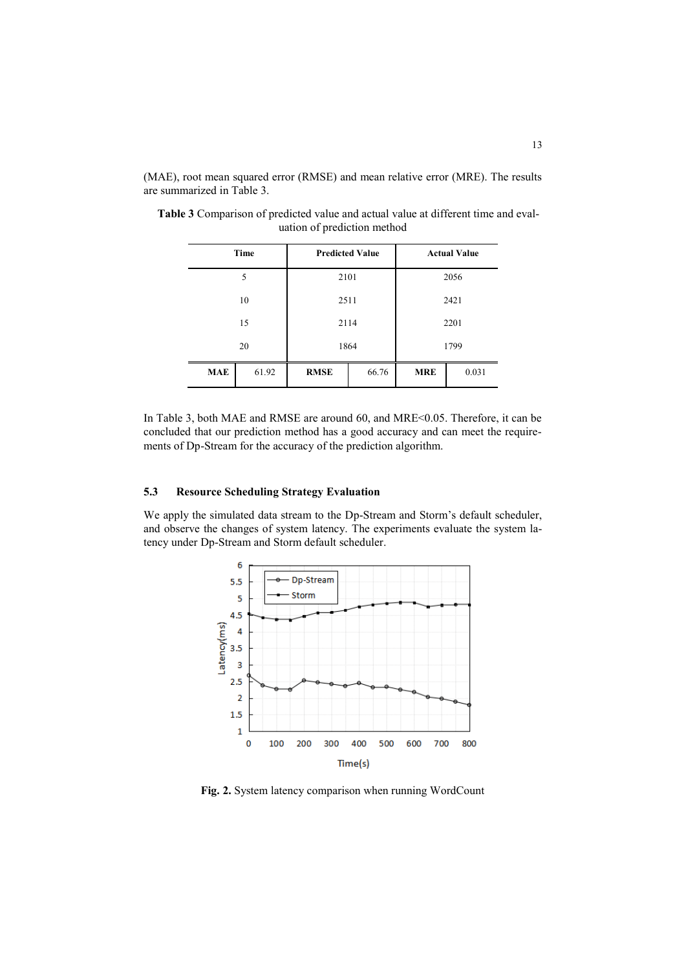(MAE), root mean squared error (RMSE) and mean relative error (MRE). The results are summarized in Table 3.

|            | Time  | <b>Predicted Value</b> |       | <b>Actual Value</b> |       |  |
|------------|-------|------------------------|-------|---------------------|-------|--|
|            | 5     | 2101                   |       | 2056                |       |  |
|            | 10    |                        | 2511  | 2421                |       |  |
|            | 15    |                        | 2114  | 2201                |       |  |
|            | 20    |                        | 1864  | 1799                |       |  |
| <b>MAE</b> | 61.92 | <b>RMSE</b>            | 66.76 | <b>MRE</b>          | 0.031 |  |

**Table 3** Comparison of predicted value and actual value at different time and evaluation of prediction method

In Table 3, both MAE and RMSE are around 60, and MRE<0.05. Therefore, it can be concluded that our prediction method has a good accuracy and can meet the requirements of Dp-Stream for the accuracy of the prediction algorithm.

### **5.3 Resource Scheduling Strategy Evaluation**

We apply the simulated data stream to the Dp-Stream and Storm's default scheduler, and observe the changes of system latency. The experiments evaluate the system latency under Dp-Stream and Storm default scheduler.



**Fig. 2.** System latency comparison when running WordCount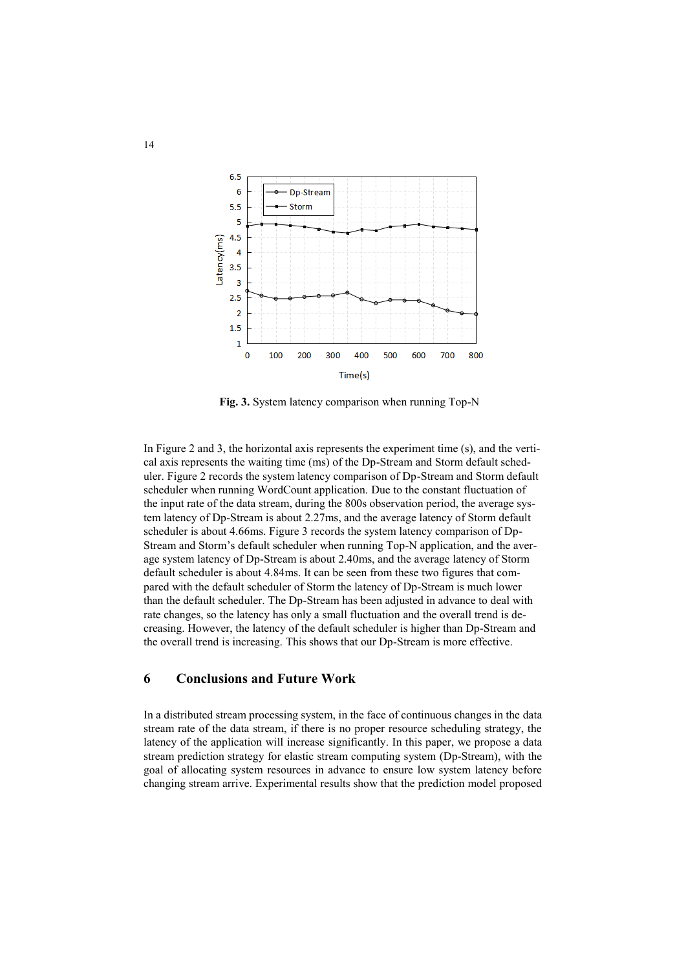

**Fig. 3.** System latency comparison when running Top-N

In Figure 2 and 3, the horizontal axis represents the experiment time (s), and the vertical axis represents the waiting time (ms) of the Dp-Stream and Storm default scheduler. Figure 2 records the system latency comparison of Dp-Stream and Storm default scheduler when running WordCount application. Due to the constant fluctuation of the input rate of the data stream, during the 800s observation period, the average system latency of Dp-Stream is about 2.27ms, and the average latency of Storm default scheduler is about 4.66ms. Figure 3 records the system latency comparison of Dp-Stream and Storm's default scheduler when running Top-N application, and the average system latency of Dp-Stream is about 2.40ms, and the average latency of Storm default scheduler is about 4.84ms. It can be seen from these two figures that compared with the default scheduler of Storm the latency of Dp-Stream is much lower than the default scheduler. The Dp-Stream has been adjusted in advance to deal with rate changes, so the latency has only a small fluctuation and the overall trend is decreasing. However, the latency of the default scheduler is higher than Dp-Stream and the overall trend is increasing. This shows that our Dp-Stream is more effective.

### **6 Conclusions and Future Work**

In a distributed stream processing system, in the face of continuous changes in the data stream rate of the data stream, if there is no proper resource scheduling strategy, the latency of the application will increase significantly. In this paper, we propose a data stream prediction strategy for elastic stream computing system (Dp-Stream), with the goal of allocating system resources in advance to ensure low system latency before changing stream arrive. Experimental results show that the prediction model proposed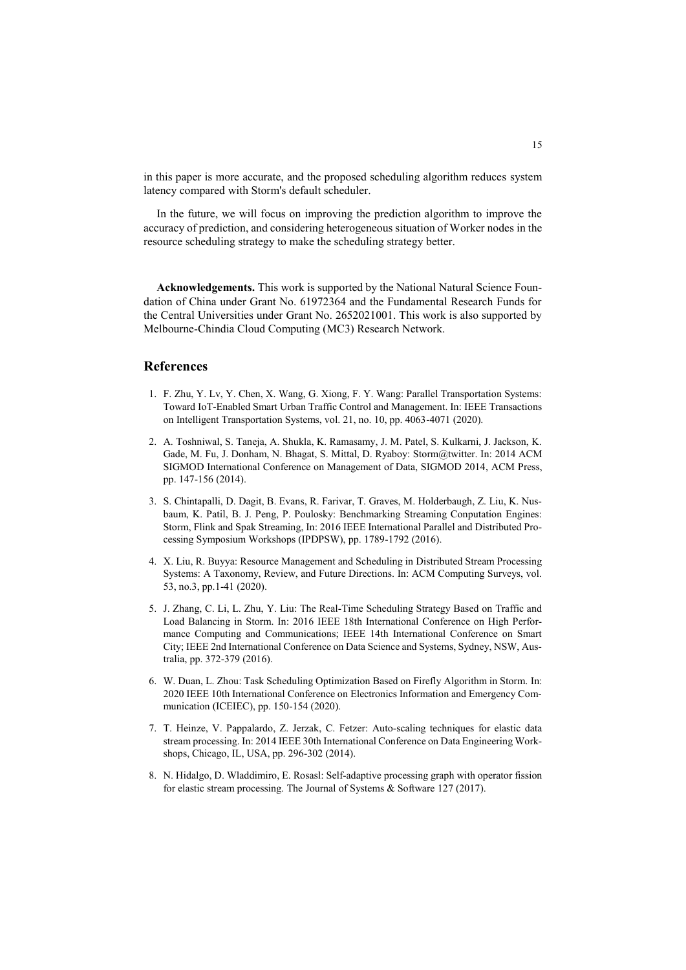in this paper is more accurate, and the proposed scheduling algorithm reduces system latency compared with Storm's default scheduler.

In the future, we will focus on improving the prediction algorithm to improve the accuracy of prediction, and considering heterogeneous situation of Worker nodes in the resource scheduling strategy to make the scheduling strategy better.

**Acknowledgements.** This work is supported by the National Natural Science Foundation of China under Grant No. 61972364 and the Fundamental Research Funds for the Central Universities under Grant No. 2652021001. This work is also supported by Melbourne-Chindia Cloud Computing (MC3) Research Network.

### **References**

- 1. F. Zhu, Y. Lv, Y. Chen, X. Wang, G. Xiong, F. Y. Wang: Parallel Transportation Systems: Toward IoT-Enabled Smart Urban Traffic Control and Management. In: IEEE Transactions on Intelligent Transportation Systems, vol. 21, no. 10, pp. 4063-4071 (2020).
- 2. A. Toshniwal, S. Taneja, A. Shukla, K. Ramasamy, J. M. Patel, S. Kulkarni, J. Jackson, K. Gade, M. Fu, J. Donham, N. Bhagat, S. Mittal, D. Ryaboy: Storm@twitter. In: 2014 ACM SIGMOD International Conference on Management of Data, SIGMOD 2014, ACM Press, pp. 147-156 (2014).
- 3. S. Chintapalli, D. Dagit, B. Evans, R. Farivar, T. Graves, M. Holderbaugh, Z. Liu, K. Nusbaum, K. Patil, B. J. Peng, P. Poulosky: Benchmarking Streaming Conputation Engines: Storm, Flink and Spak Streaming, In: 2016 IEEE International Parallel and Distributed Processing Symposium Workshops (IPDPSW), pp. 1789-1792 (2016).
- 4. X. Liu, R. Buyya: Resource Management and Scheduling in Distributed Stream Processing Systems: A Taxonomy, Review, and Future Directions. In: ACM Computing Surveys, vol. 53, no.3, pp.1-41 (2020).
- 5. J. Zhang, C. Li, L. Zhu, Y. Liu: The Real-Time Scheduling Strategy Based on Traffic and Load Balancing in Storm. In: 2016 IEEE 18th International Conference on High Performance Computing and Communications; IEEE 14th International Conference on Smart City; IEEE 2nd International Conference on Data Science and Systems, Sydney, NSW, Australia, pp. 372-379 (2016).
- 6. W. Duan, L. Zhou: Task Scheduling Optimization Based on Firefly Algorithm in Storm. In: 2020 IEEE 10th International Conference on Electronics Information and Emergency Communication (ICEIEC), pp. 150-154 (2020).
- 7. T. Heinze, V. Pappalardo, Z. Jerzak, C. Fetzer: Auto-scaling techniques for elastic data stream processing. In: 2014 IEEE 30th International Conference on Data Engineering Workshops, Chicago, IL, USA, pp. 296-302 (2014).
- 8. N. Hidalgo, D. Wladdimiro, E. Rosasl: Self-adaptive processing graph with operator fission for elastic stream processing. The Journal of Systems & Software 127 (2017).